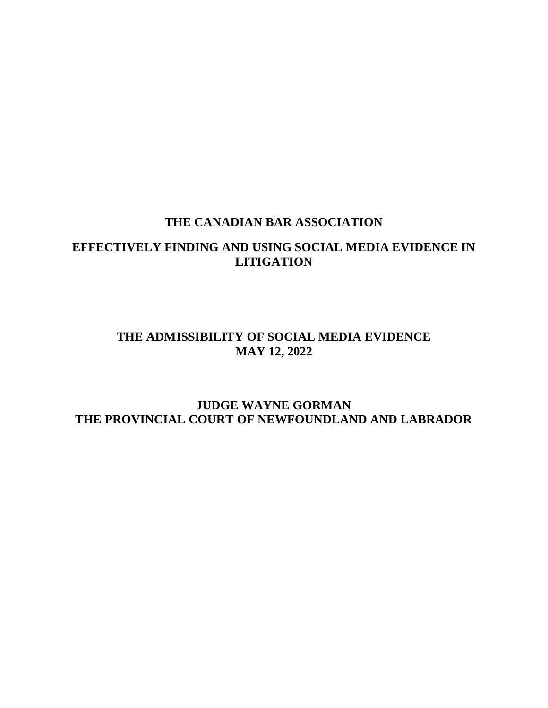### **THE CANADIAN BAR ASSOCIATION**

## **EFFECTIVELY FINDING AND USING SOCIAL MEDIA EVIDENCE IN LITIGATION**

### **THE ADMISSIBILITY OF SOCIAL MEDIA EVIDENCE MAY 12, 2022**

### **JUDGE WAYNE GORMAN THE PROVINCIAL COURT OF NEWFOUNDLAND AND LABRADOR**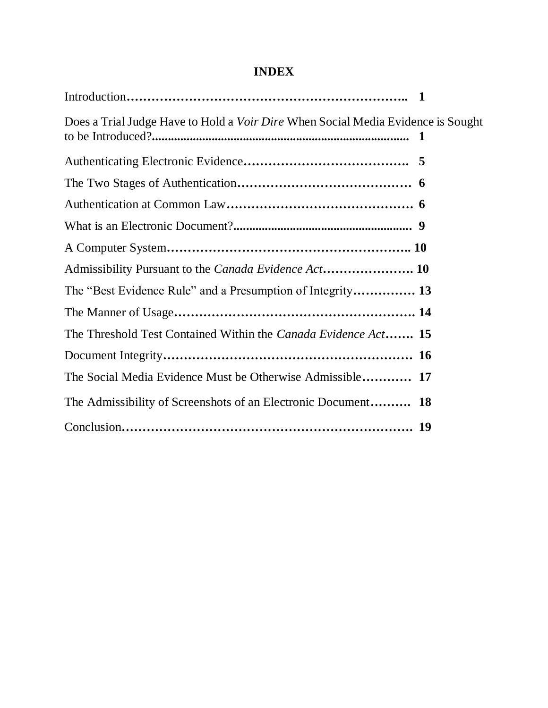# **INDEX**

| Does a Trial Judge Have to Hold a <i>Voir Dire</i> When Social Media Evidence is Sought |  |
|-----------------------------------------------------------------------------------------|--|
|                                                                                         |  |
|                                                                                         |  |
|                                                                                         |  |
|                                                                                         |  |
|                                                                                         |  |
|                                                                                         |  |
| The "Best Evidence Rule" and a Presumption of Integrity 13                              |  |
|                                                                                         |  |
| The Threshold Test Contained Within the <i>Canada Evidence Act</i> 15                   |  |
|                                                                                         |  |
| The Social Media Evidence Must be Otherwise Admissible 17                               |  |
| The Admissibility of Screenshots of an Electronic Document 18                           |  |
|                                                                                         |  |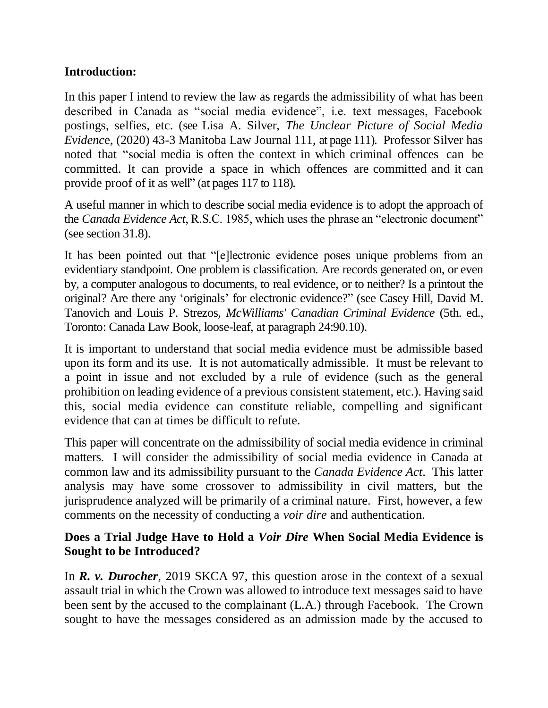### **Introduction:**

In this paper I intend to review the law as regards the admissibility of what has been described in Canada as "social media evidence", i.e. text messages, Facebook postings, selfies, etc. (see Lisa A. Silver, *The Unclear Picture of Social Media Evidenc*e, (2020) 43-3 Manitoba Law Journal 111, at page 111). Professor Silver has noted that "social media is often the context in which criminal offences can be committed. It can provide a space in which offences are committed and it can provide proof of it as well" (at pages 117 to 118).

A useful manner in which to describe social media evidence is to adopt the approach of the *Canada Evidence Act*, R.S.C. 1985, which uses the phrase an "electronic document" (see section 31.8).

It has been pointed out that "[e]lectronic evidence poses unique problems from an evidentiary standpoint. One problem is classification. Are records generated on, or even by, a computer analogous to documents, to real evidence, or to neither? Is a printout the original? Are there any 'originals' for electronic evidence?" (see Casey Hill, David M. Tanovich and Louis P. Strezos, *McWilliams' Canadian Criminal Evidence* (5th. ed., Toronto: Canada Law Book, loose-leaf, at paragraph 24:90.10).

It is important to understand that social media evidence must be admissible based upon its form and its use. It is not automatically admissible. It must be relevant to a point in issue and not excluded by a rule of evidence (such as the general prohibition on leading evidence of a previous consistent statement, etc.). Having said this, social media evidence can constitute reliable, compelling and significant evidence that can at times be difficult to refute.

This paper will concentrate on the admissibility of social media evidence in criminal matters. I will consider the admissibility of social media evidence in Canada at common law and its admissibility pursuant to the *Canada Evidence Act*. This latter analysis may have some crossover to admissibility in civil matters, but the jurisprudence analyzed will be primarily of a criminal nature. First, however, a few comments on the necessity of conducting a *voir dire* and authentication.

### **Does a Trial Judge Have to Hold a** *Voir Dire* **When Social Media Evidence is Sought to be Introduced?**

In *R. v. Durocher*, [2019 SKCA 97,](https://www.canlii.org/en/sk/skca/doc/2019/2019skca97/2019skca97.html) this question arose in the context of a sexual assault trial in which the Crown was allowed to introduce text messages said to have been sent by the accused to the complainant (L.A.) through Facebook. The Crown sought to have the messages considered as an admission made by the accused to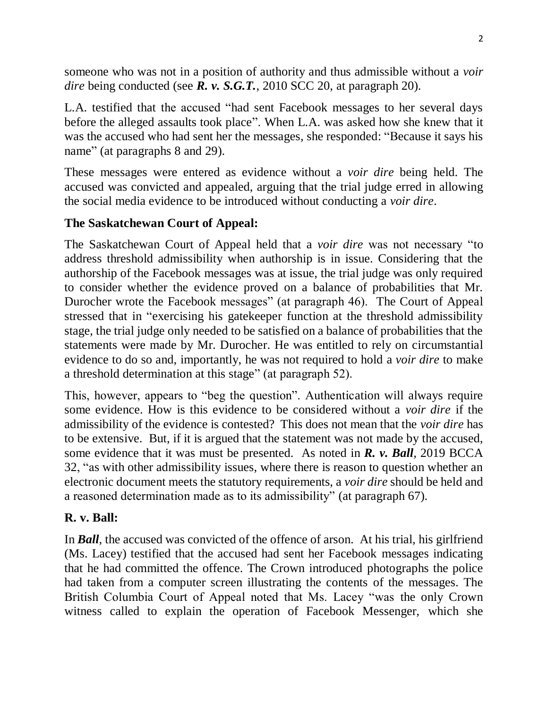someone who was not in a position of authority and thus admissible without a *voir dire* being conducted (see *R. v. S.G.T.*, 2010 SCC 20, at paragraph 20).

L.A. testified that the accused "had sent Facebook messages to her several days before the alleged assaults took place". When L.A. was asked how she knew that it was the accused who had sent her the messages, she responded: "Because it says his name" (at paragraphs 8 and 29).

These messages were entered as evidence without a *voir dire* being held. The accused was convicted and appealed, arguing that the trial judge erred in allowing the social media evidence to be introduced without conducting a *voir dire*.

## **The Saskatchewan Court of Appeal:**

The Saskatchewan Court of Appeal held that a *voir dire* was not necessary "to address threshold admissibility when authorship is in issue. Considering that the authorship of the Facebook messages was at issue, the trial judge was only required to consider whether the evidence proved on a balance of probabilities that Mr. Durocher wrote the Facebook messages" (at paragraph 46). The Court of Appeal stressed that in "exercising his gatekeeper function at the threshold admissibility stage, the trial judge only needed to be satisfied on a balance of probabilities that the statements were made by Mr. Durocher. He was entitled to rely on circumstantial evidence to do so and, importantly, he was not required to hold a *voir dire* to make a threshold determination at this stage" (at paragraph 52).

This, however, appears to "beg the question". Authentication will always require some evidence. How is this evidence to be considered without a *voir dire* if the admissibility of the evidence is contested? This does not mean that the *voir dire* has to be extensive. But, if it is argued that the statement was not made by the accused, some evidence that it was must be presented. As noted in *R. v. Ball*, 2019 BCCA 32, "as with other admissibility issues, where there is reason to question whether an electronic document meets the statutory requirements, a *voir dire* should be held and a reasoned determination made as to its admissibility" (at paragraph 67).

## **R. v. Ball:**

In *Ball*, the accused was convicted of the offence of arson. At his trial, his girlfriend (Ms. Lacey) testified that the accused had sent her Facebook messages indicating that he had committed the offence. The Crown introduced photographs the police had taken from a computer screen illustrating the contents of the messages. The British Columbia Court of Appeal noted that Ms. Lacey "was the only Crown witness called to explain the operation of Facebook Messenger, which she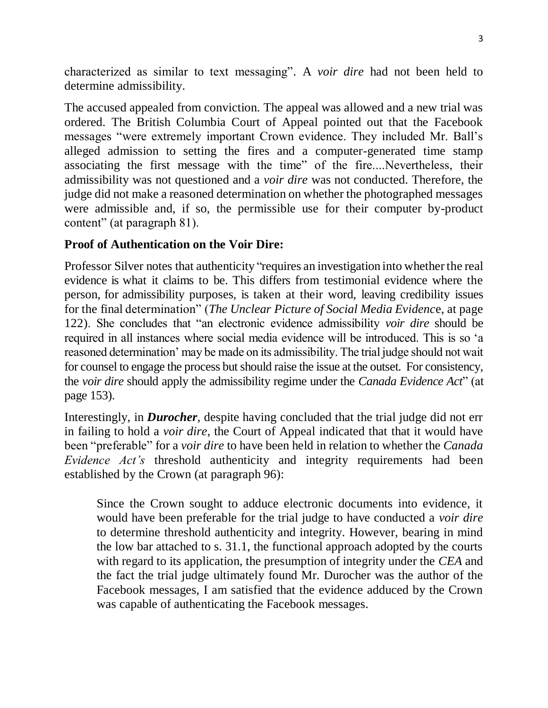characterized as similar to text messaging". A *voir dire* had not been held to determine admissibility.

The accused appealed from conviction. The appeal was allowed and a new trial was ordered. The British Columbia Court of Appeal pointed out that the Facebook messages "were extremely important Crown evidence. They included Mr. Ball's alleged admission to setting the fires and a computer-generated time stamp associating the first message with the time" of the fire....Nevertheless, their admissibility was not questioned and a *voir dire* was not conducted. Therefore, the judge did not make a reasoned determination on whether the photographed messages were admissible and, if so, the permissible use for their computer by-product content" (at paragraph 81).

### **Proof of Authentication on the Voir Dire:**

Professor Silver notes that authenticity "requires an investigation into whether the real evidence is what it claims to be. This differs from testimonial evidence where the person, for admissibility purposes, is taken at their word, leaving credibility issues for the final determination" (*The Unclear Picture of Social Media Evidenc*e, at page 122). She concludes that "an electronic evidence admissibility *voir dire* should be required in all instances where social media evidence will be introduced. This is so 'a reasoned determination' may be made on its admissibility. The trial judge should not wait for counsel to engage the process but should raise the issue at the outset. For consistency, the *voir dire* should apply the admissibility regime under the *Canada Evidence Act*" (at page 153).

Interestingly, in *Durocher*, despite having concluded that the trial judge did not err in failing to hold a *voir dire*, the Court of Appeal indicated that that it would have been "preferable" for a *voir dire* to have been held in relation to whether the *Canada Evidence Act's* threshold authenticity and integrity requirements had been established by the Crown (at paragraph 96):

Since the Crown sought to adduce electronic documents into evidence, it would have been preferable for the trial judge to have conducted a *voir dire* to determine threshold authenticity and integrity. However, bearing in mind the low bar attached to s. 31.1, the functional approach adopted by the courts with regard to its application, the presumption of integrity under the *CEA* and the fact the trial judge ultimately found Mr. Durocher was the author of the Facebook messages, I am satisfied that the evidence adduced by the Crown was capable of authenticating the Facebook messages.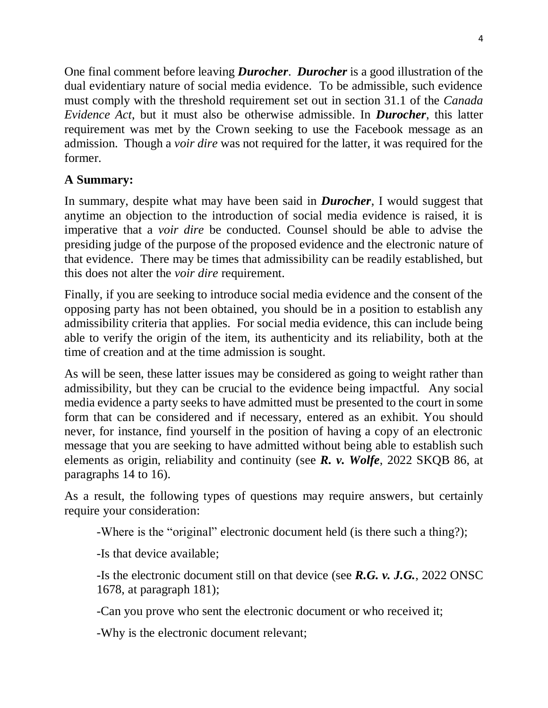One final comment before leaving *Durocher*. *Durocher* is a good illustration of the dual evidentiary nature of social media evidence. To be admissible, such evidence must comply with the threshold requirement set out in section 31.1 of the *Canada Evidence Act*, but it must also be otherwise admissible. In *Durocher*, this latter requirement was met by the Crown seeking to use the Facebook message as an admission. Though a *voir dire* was not required for the latter, it was required for the former.

## **A Summary:**

In summary, despite what may have been said in *Durocher*, I would suggest that anytime an objection to the introduction of social media evidence is raised, it is imperative that a *voir dire* be conducted. Counsel should be able to advise the presiding judge of the purpose of the proposed evidence and the electronic nature of that evidence. There may be times that admissibility can be readily established, but this does not alter the *voir dire* requirement.

Finally, if you are seeking to introduce social media evidence and the consent of the opposing party has not been obtained, you should be in a position to establish any admissibility criteria that applies. For social media evidence, this can include being able to verify the origin of the item, its authenticity and its reliability, both at the time of creation and at the time admission is sought.

As will be seen, these latter issues may be considered as going to weight rather than admissibility, but they can be crucial to the evidence being impactful. Any social media evidence a party seeks to have admitted must be presented to the court in some form that can be considered and if necessary, entered as an exhibit. You should never, for instance, find yourself in the position of having a copy of an electronic message that you are seeking to have admitted without being able to establish such elements as origin, reliability and continuity (see *R. v. Wolfe*, 2022 SKQB 86, at paragraphs 14 to 16).

As a result, the following types of questions may require answers, but certainly require your consideration:

-Where is the "original" electronic document held (is there such a thing?);

-Is that device available;

-Is the electronic document still on that device (see *R.G. v. J.G.*, 2022 ONSC 1678, at paragraph 181);

-Can you prove who sent the electronic document or who received it;

-Why is the electronic document relevant;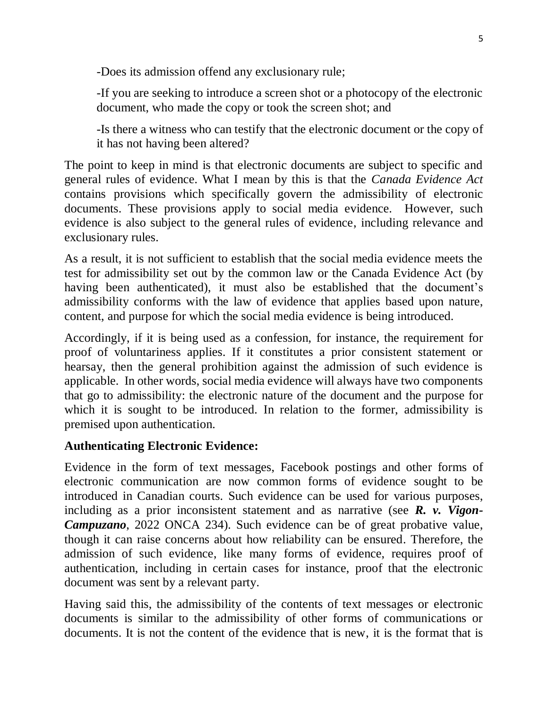-Does its admission offend any exclusionary rule;

-If you are seeking to introduce a screen shot or a photocopy of the electronic document, who made the copy or took the screen shot; and

-Is there a witness who can testify that the electronic document or the copy of it has not having been altered?

The point to keep in mind is that electronic documents are subject to specific and general rules of evidence. What I mean by this is that the *Canada Evidence Act* contains provisions which specifically govern the admissibility of electronic documents. These provisions apply to social media evidence. However, such evidence is also subject to the general rules of evidence, including relevance and exclusionary rules.

As a result, it is not sufficient to establish that the social media evidence meets the test for admissibility set out by the common law or the Canada Evidence Act (by having been authenticated), it must also be established that the document's admissibility conforms with the law of evidence that applies based upon nature, content, and purpose for which the social media evidence is being introduced.

Accordingly, if it is being used as a confession, for instance, the requirement for proof of voluntariness applies. If it constitutes a prior consistent statement or hearsay, then the general prohibition against the admission of such evidence is applicable. In other words, social media evidence will always have two components that go to admissibility: the electronic nature of the document and the purpose for which it is sought to be introduced. In relation to the former, admissibility is premised upon authentication.

#### **Authenticating Electronic Evidence:**

Evidence in the form of text messages, Facebook postings and other forms of electronic communication are now common forms of evidence sought to be introduced in Canadian courts. Such evidence can be used for various purposes, including as a prior inconsistent statement and as narrative (see *R. v. Vigon-Campuzano*, 2022 ONCA 234). Such evidence can be of great probative value, though it can raise concerns about how reliability can be ensured. Therefore, the admission of such evidence, like many forms of evidence, requires proof of authentication, including in certain cases for instance, proof that the electronic document was sent by a relevant party.

Having said this, the admissibility of the contents of text messages or electronic documents is similar to the admissibility of other forms of communications or documents. It is not the content of the evidence that is new, it is the format that is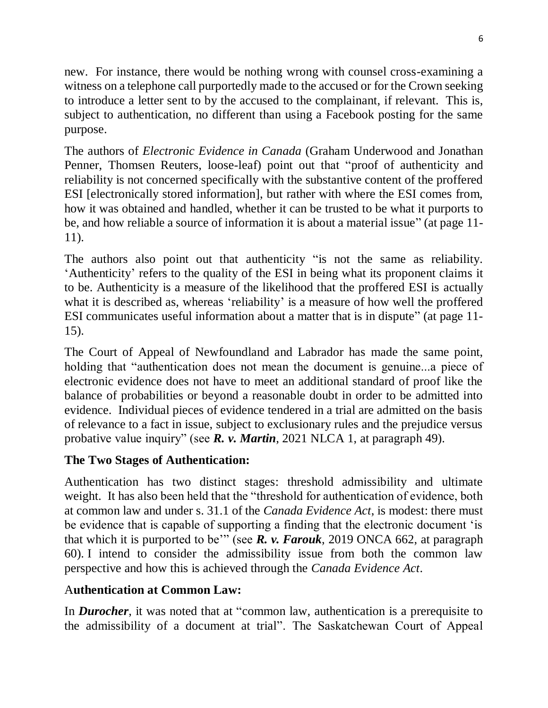new. For instance, there would be nothing wrong with counsel cross-examining a witness on a telephone call purportedly made to the accused or for the Crown seeking to introduce a letter sent to by the accused to the complainant, if relevant. This is, subject to authentication, no different than using a Facebook posting for the same purpose.

The authors of *Electronic Evidence in Canada* (Graham Underwood and Jonathan Penner, Thomsen Reuters, loose-leaf) point out that "proof of authenticity and reliability is not concerned specifically with the substantive content of the proffered ESI [electronically stored information], but rather with where the ESI comes from, how it was obtained and handled, whether it can be trusted to be what it purports to be, and how reliable a source of information it is about a material issue" (at page 11- 11).

The authors also point out that authenticity "is not the same as reliability. 'Authenticity' refers to the quality of the ESI in being what its proponent claims it to be. Authenticity is a measure of the likelihood that the proffered ESI is actually what it is described as, whereas 'reliability' is a measure of how well the proffered ESI communicates useful information about a matter that is in dispute" (at page 11- 15).

The Court of Appeal of Newfoundland and Labrador has made the same point, holding that "authentication does not mean the document is genuine...a piece of electronic evidence does not have to meet an additional standard of proof like the balance of probabilities or beyond a reasonable doubt in order to be admitted into evidence. Individual pieces of evidence tendered in a trial are admitted on the basis of relevance to a fact in issue, subject to exclusionary rules and the prejudice versus probative value inquiry" (see *R. v. Martin*, 2021 NLCA 1, at paragraph 49).

## **The Two Stages of Authentication:**

Authentication has two distinct stages: threshold admissibility and ultimate weight. It has also been held that the "threshold for authentication of evidence, both at common law and under s. 31.1 of the *Canada Evidence Act*, is modest: there must be evidence that is capable of supporting a finding that the electronic document 'is that which it is purported to be'" (see *R. v. Farouk*, [2019 ONCA 662,](https://www.canlii.org/en/on/onca/doc/2019/2019onca662/2019onca662.html) at paragraph [60\)](https://www.canlii.org/en/on/onca/doc/2019/2019onca662/2019onca662.html#par60). I intend to consider the admissibility issue from both the common law perspective and how this is achieved through the *Canada Evidence Act*.

## A**uthentication at Common Law:**

In *Durocher*, it was noted that at "common law, authentication is a prerequisite to the admissibility of a document at trial". The Saskatchewan Court of Appeal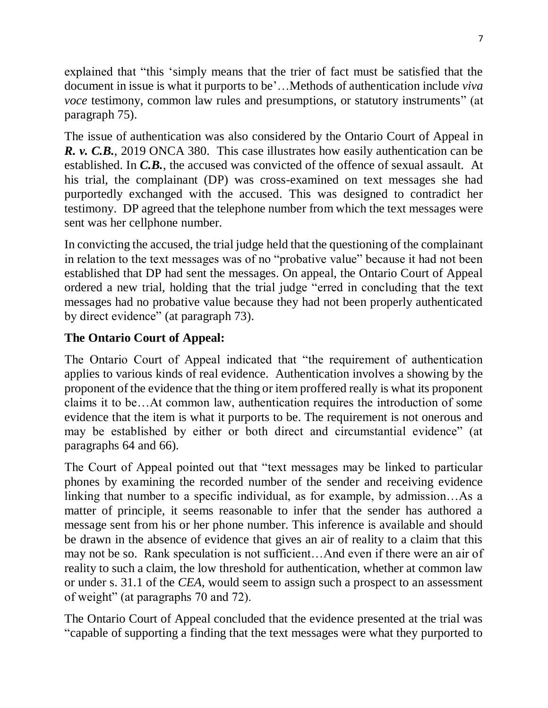explained that "this 'simply means that the trier of fact must be satisfied that the document in issue is what it purports to be'…Methods of authentication include *viva voce* testimony, common law rules and presumptions, or statutory instruments" (at paragraph 75).

The issue of authentication was also considered by the Ontario Court of Appeal in *R. v. C.B.*, [2019 ONCA 380.](https://www.canlii.org/en/on/onca/doc/2019/2019onca380/2019onca380.html) This case illustrates how easily authentication can be established. In *C.B.*, the accused was convicted of the offence of sexual assault. At his trial, the complainant (DP) was cross-examined on text messages she had purportedly exchanged with the accused. This was designed to contradict her testimony. DP agreed that the telephone number from which the text messages were sent was her cellphone number.

In convicting the accused, the trial judge held that the questioning of the complainant in relation to the text messages was of no "probative value" because it had not been established that DP had sent the messages. On appeal, the Ontario Court of Appeal ordered a new trial, holding that the trial judge "erred in concluding that the text messages had no probative value because they had not been properly authenticated by direct evidence" (at paragraph 73).

## **The Ontario Court of Appeal:**

The Ontario Court of Appeal indicated that "the requirement of authentication applies to various kinds of real evidence. Authentication involves a showing by the proponent of the evidence that the thing or item proffered really is what its proponent claims it to be…At common law, authentication requires the introduction of some evidence that the item is what it purports to be. The requirement is not onerous and may be established by either or both direct and circumstantial evidence" (at paragraphs 64 and 66).

The Court of Appeal pointed out that "text messages may be linked to particular phones by examining the recorded number of the sender and receiving evidence linking that number to a specific individual, as for example, by admission…As a matter of principle, it seems reasonable to infer that the sender has authored a message sent from his or her phone number. This inference is available and should be drawn in the absence of evidence that gives an air of reality to a claim that this may not be so. Rank speculation is not sufficient…And even if there were an air of reality to such a claim, the low threshold for authentication, whether at common law or under s. 31.1 of the *CEA*, would seem to assign such a prospect to an assessment of weight" (at paragraphs 70 and 72).

The Ontario Court of Appeal concluded that the evidence presented at the trial was "capable of supporting a finding that the text messages were what they purported to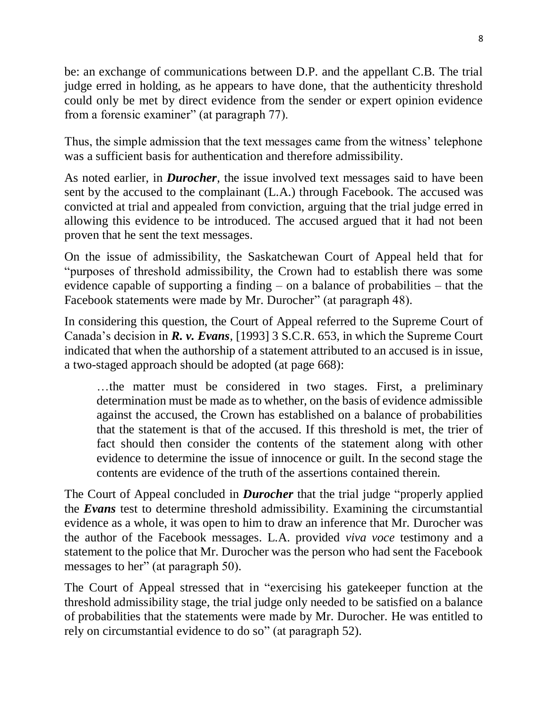be: an exchange of communications between D.P. and the appellant C.B. The trial judge erred in holding, as he appears to have done, that the authenticity threshold could only be met by direct evidence from the sender or expert opinion evidence from a forensic examiner" (at paragraph 77).

Thus, the simple admission that the text messages came from the witness' telephone was a sufficient basis for authentication and therefore admissibility.

As noted earlier, in *Durocher*, the issue involved text messages said to have been sent by the accused to the complainant (L.A.) through Facebook. The accused was convicted at trial and appealed from conviction, arguing that the trial judge erred in allowing this evidence to be introduced. The accused argued that it had not been proven that he sent the text messages.

On the issue of admissibility, the Saskatchewan Court of Appeal held that for "purposes of threshold admissibility, the Crown had to establish there was some evidence capable of supporting a finding – on a balance of probabilities – that the Facebook statements were made by Mr. Durocher" (at paragraph 48).

In considering this question, the Court of Appeal referred to the Supreme Court of Canada's decision in *R. v. Evans*, [1993] 3 S.C.R. 653, in which the Supreme Court indicated that when the authorship of a statement attributed to an accused is in issue, a two-staged approach should be adopted (at page 668):

…the matter must be considered in two stages. First, a preliminary determination must be made as to whether, on the basis of evidence admissible against the accused, the Crown has established on a balance of probabilities that the statement is that of the accused. If this threshold is met, the trier of fact should then consider the contents of the statement along with other evidence to determine the issue of innocence or guilt. In the second stage the contents are evidence of the truth of the assertions contained therein.

The Court of Appeal concluded in *Durocher* that the trial judge "properly applied the *Evans* test to determine threshold admissibility. Examining the circumstantial evidence as a whole, it was open to him to draw an inference that Mr. Durocher was the author of the Facebook messages. L.A. provided *viva voce* testimony and a statement to the police that Mr. Durocher was the person who had sent the Facebook messages to her" (at paragraph 50).

The Court of Appeal stressed that in "exercising his gatekeeper function at the threshold admissibility stage, the trial judge only needed to be satisfied on a balance of probabilities that the statements were made by Mr. Durocher. He was entitled to rely on circumstantial evidence to do so" (at paragraph 52).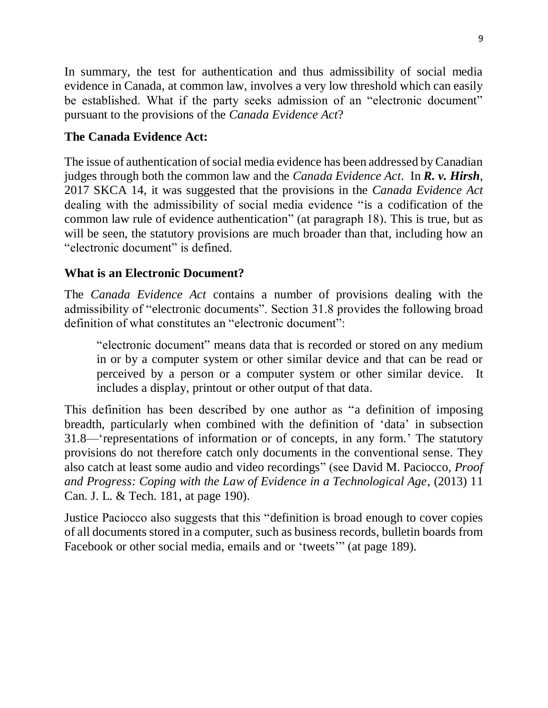In summary, the test for authentication and thus admissibility of social media evidence in Canada, at common law, involves a very low threshold which can easily be established. What if the party seeks admission of an "electronic document" pursuant to the provisions of the *Canada Evidence Act*?

## **The Canada Evidence Act:**

The issue of authentication of social media evidence has been addressed by Canadian judges through both the common law and the *Canada Evidence Act*. In *R. v. Hirsh*, 2017 SKCA 14, it was suggested that the provisions in the *Canada Evidence Act* dealing with the admissibility of social media evidence "is a codification of the common law rule of evidence authentication" (at paragraph 18). This is true, but as will be seen, the statutory provisions are much broader than that, including how an "electronic document" is defined.

## **What is an Electronic Document?**

The *Canada Evidence Act* contains a number of provisions dealing with the admissibility of "electronic documents". Section 31.8 provides the following broad definition of what constitutes an "electronic document":

"electronic document" means data that is recorded or stored on any medium in or by a computer system or other similar device and that can be read or perceived by a person or a computer system or other similar device. It includes a display, printout or other output of that data.

This definition has been described by one author as "a definition of imposing breadth, particularly when combined with the definition of 'data' in subsection 31.8—'representations of information or of concepts, in any form.' The statutory provisions do not therefore catch only documents in the conventional sense. They also catch at least some audio and video recordings" (see David M. Paciocco, *Proof and Progress: Coping with the Law of Evidence in a Technological Age*, (2013) 11 Can. J. L. & Tech. 181, at page 190).

Justice Paciocco also suggests that this "definition is broad enough to cover copies of all documents stored in a computer, such as business records, bulletin boards from Facebook or other social media, emails and or 'tweets'" (at page 189).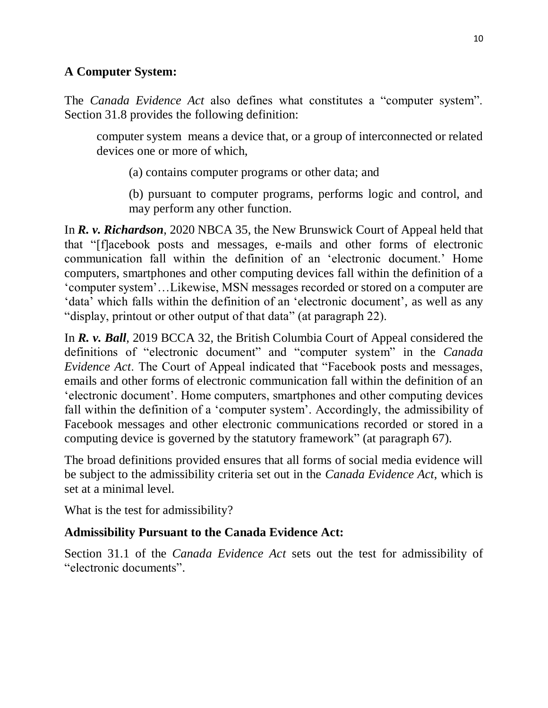### **A Computer System:**

The *Canada Evidence Act* also defines what constitutes a "computer system". Section 31.8 provides the following definition:

computer system means a device that, or a group of interconnected or related devices one or more of which,

(a) contains computer programs or other data; and

(b) pursuant to computer programs, performs logic and control, and may perform any other function.

In *R. v. Richardson*, 2020 NBCA 35, the New Brunswick Court of Appeal held that that "[f]acebook posts and messages, e-mails and other forms of electronic communication fall within the definition of an 'electronic document.' Home computers, smartphones and other computing devices fall within the definition of a 'computer system'…Likewise, MSN messages recorded or stored on a computer are 'data' which falls within the definition of an 'electronic document', as well as any "display, printout or other output of that data" (at paragraph 22).

In *R. v. Ball*, 2019 BCCA 32, the British Columbia Court of Appeal considered the definitions of "electronic document" and "computer system" in the *Canada Evidence Act*. The Court of Appeal indicated that "Facebook posts and messages, emails and other forms of electronic communication fall within the definition of an 'electronic document'. Home computers, smartphones and other computing devices fall within the definition of a 'computer system'. Accordingly, the admissibility of Facebook messages and other electronic communications recorded or stored in a computing device is governed by the statutory framework" (at paragraph 67).

The broad definitions provided ensures that all forms of social media evidence will be subject to the admissibility criteria set out in the *Canada Evidence Act*, which is set at a minimal level.

What is the test for admissibility?

## **Admissibility Pursuant to the Canada Evidence Act:**

Section 31.1 of the *Canada Evidence Act* sets out the test for admissibility of "electronic documents".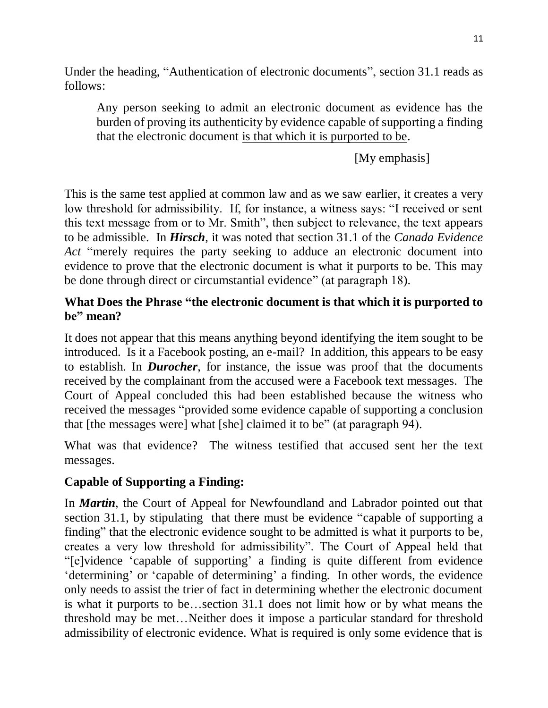Under the heading, "Authentication of electronic documents", section 31.1 reads as follows:

Any person seeking to admit an electronic document as evidence has the burden of proving its authenticity by evidence capable of supporting a finding that the electronic document is that which it is purported to be.

[My emphasis]

This is the same test applied at common law and as we saw earlier, it creates a very low threshold for admissibility. If, for instance, a witness says: "I received or sent this text message from or to Mr. Smith", then subject to relevance, the text appears to be admissible. In *Hirsch*, it was noted that section 31.1 of the *Canada Evidence Act* "merely requires the party seeking to adduce an electronic document into evidence to prove that the electronic document is what it purports to be. This may be done through direct or circumstantial evidence" (at paragraph 18).

## **What Does the Phrase "the electronic document is that which it is purported to be" mean?**

It does not appear that this means anything beyond identifying the item sought to be introduced. Is it a Facebook posting, an e-mail? In addition, this appears to be easy to establish. In *Durocher*, for instance, the issue was proof that the documents received by the complainant from the accused were a Facebook text messages. The Court of Appeal concluded this had been established because the witness who received the messages "provided some evidence capable of supporting a conclusion that [the messages were] what [she] claimed it to be" (at paragraph 94).

What was that evidence? The witness testified that accused sent her the text messages.

## **Capable of Supporting a Finding:**

In *Martin*, the Court of Appeal for Newfoundland and Labrador pointed out that section 31.1, by stipulating that there must be evidence "capable of supporting a finding" that the electronic evidence sought to be admitted is what it purports to be, creates a very low threshold for admissibility". The Court of Appeal held that "[e]vidence 'capable of supporting' a finding is quite different from evidence 'determining' or 'capable of determining' a finding. In other words, the evidence only needs to assist the trier of fact in determining whether the electronic document is what it purports to be…section 31.1 does not limit how or by what means the threshold may be met…Neither does it impose a particular standard for threshold admissibility of electronic evidence. What is required is only some evidence that is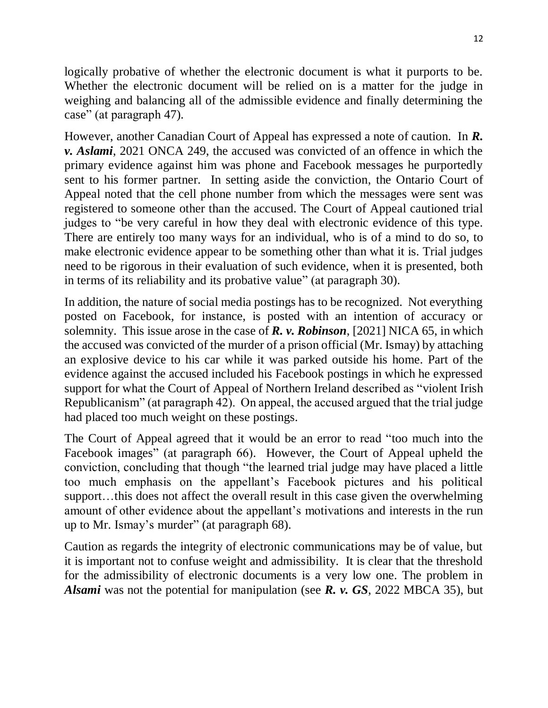logically probative of whether the electronic document is what it purports to be. Whether the electronic document will be relied on is a matter for the judge in weighing and balancing all of the admissible evidence and finally determining the case" (at paragraph 47).

However, another Canadian Court of Appeal has expressed a note of caution. In *R. v. Aslami*, 2021 ONCA 249, the accused was convicted of an offence in which the primary evidence against him was phone and Facebook messages he purportedly sent to his former partner. In setting aside the conviction, the Ontario Court of Appeal noted that the cell phone number from which the messages were sent was registered to someone other than the accused. The Court of Appeal cautioned trial judges to "be very careful in how they deal with electronic evidence of this type. There are entirely too many ways for an individual, who is of a mind to do so, to make electronic evidence appear to be something other than what it is. Trial judges need to be rigorous in their evaluation of such evidence, when it is presented, both in terms of its reliability and its probative value" (at paragraph 30).

In addition, the nature of social media postings has to be recognized. Not everything posted on Facebook, for instance, is posted with an intention of accuracy or solemnity. This issue arose in the case of *R. v. Robinson*, [2021] NICA 65, in which the accused was convicted of the murder of a prison official (Mr. Ismay) by attaching an explosive device to his car while it was parked outside his home. Part of the evidence against the accused included his Facebook postings in which he expressed support for what the Court of Appeal of Northern Ireland described as "violent Irish Republicanism" (at paragraph 42). On appeal, the accused argued that the trial judge had placed too much weight on these postings.

The Court of Appeal agreed that it would be an error to read "too much into the Facebook images" (at paragraph 66). However, the Court of Appeal upheld the conviction, concluding that though "the learned trial judge may have placed a little too much emphasis on the appellant's Facebook pictures and his political support…this does not affect the overall result in this case given the overwhelming amount of other evidence about the appellant's motivations and interests in the run up to Mr. Ismay's murder" (at paragraph 68).

Caution as regards the integrity of electronic communications may be of value, but it is important not to confuse weight and admissibility. It is clear that the threshold for the admissibility of electronic documents is a very low one. The problem in *Alsami* was not the potential for manipulation (see *R. v. GS*, 2022 MBCA 35), but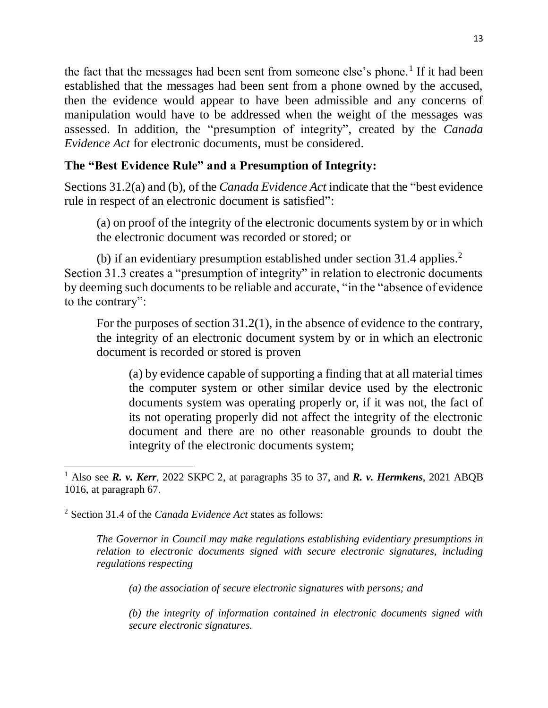the fact that the messages had been sent from someone else's phone.<sup>1</sup> If it had been established that the messages had been sent from a phone owned by the accused, then the evidence would appear to have been admissible and any concerns of manipulation would have to be addressed when the weight of the messages was assessed. In addition, the "presumption of integrity", created by the *Canada Evidence Act* for electronic documents, must be considered.

## **The "Best Evidence Rule" and a Presumption of Integrity:**

Sections 31.2(a) and (b), of the *Canada Evidence Act* indicate that the "best evidence rule in respect of an electronic document is satisfied":

(a) on proof of the integrity of the electronic documents system by or in which the electronic document was recorded or stored; or

(b) if an evidentiary presumption established under section 31.4 applies.<sup>2</sup> Section 31.3 creates a "presumption of integrity" in relation to electronic documents by deeming such documents to be reliable and accurate, "in the "absence of evidence to the contrary":

For the purposes of section 31.2(1), in the absence of evidence to the contrary, the integrity of an electronic document system by or in which an electronic document is recorded or stored is proven

(a) by evidence capable of supporting a finding that at all material times the computer system or other similar device used by the electronic documents system was operating properly or, if it was not, the fact of its not operating properly did not affect the integrity of the electronic document and there are no other reasonable grounds to doubt the integrity of the electronic documents system;

*The Governor in Council may make regulations establishing evidentiary presumptions in relation to electronic documents signed with secure electronic signatures, including regulations respecting*

*(a) the association of secure electronic signatures with persons; and*

*(b) the integrity of information contained in electronic documents signed with secure electronic signatures.*

 $\overline{\phantom{a}}$ <sup>1</sup> Also see *R. v. Kerr*, 2022 SKPC 2, at paragraphs 35 to 37, and *R. v. Hermkens*, 2021 ABQB 1016, at paragraph 67.

<sup>2</sup> Section 31.4 of the *Canada Evidence Act* states as follows: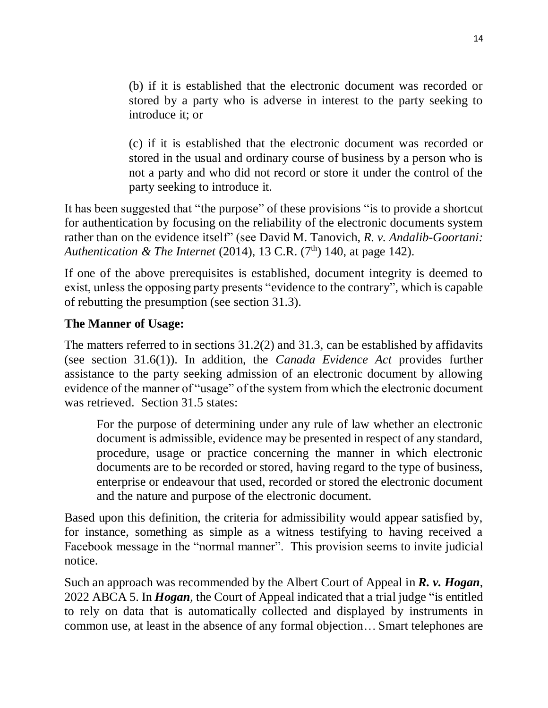(b) if it is established that the electronic document was recorded or stored by a party who is adverse in interest to the party seeking to introduce it; or

(c) if it is established that the electronic document was recorded or stored in the usual and ordinary course of business by a person who is not a party and who did not record or store it under the control of the party seeking to introduce it.

It has been suggested that "the purpose" of these provisions "is to provide a shortcut for authentication by focusing on the reliability of the electronic documents system rather than on the evidence itself" (see David M. Tanovich, *R. v. Andalib-Goortani: Authentication & The Internet* (2014), 13 C.R. (7<sup>th</sup>) 140, at page 142).

If one of the above prerequisites is established, document integrity is deemed to exist, unless the opposing party presents "evidence to the contrary", which is capable of rebutting the presumption (see section 31.3).

## **The Manner of Usage:**

The matters referred to in sections 31.2(2) and 31.3, can be established by affidavits (see section 31.6(1)). In addition, the *Canada Evidence Act* provides further assistance to the party seeking admission of an electronic document by allowing evidence of the manner of "usage" of the system from which the electronic document was retrieved. Section 31.5 states:

For the purpose of determining under any rule of law whether an electronic document is admissible, evidence may be presented in respect of any standard, procedure, usage or practice concerning the manner in which electronic documents are to be recorded or stored, having regard to the type of business, enterprise or endeavour that used, recorded or stored the electronic document and the nature and purpose of the electronic document.

Based upon this definition, the criteria for admissibility would appear satisfied by, for instance, something as simple as a witness testifying to having received a Facebook message in the "normal manner". This provision seems to invite judicial notice.

Such an approach was recommended by the Albert Court of Appeal in *R. v. Hogan*, 2022 ABCA 5. In *Hogan*, the Court of Appeal indicated that a trial judge "is entitled to rely on data that is automatically collected and displayed by instruments in common use, at least in the absence of any formal objection… Smart telephones are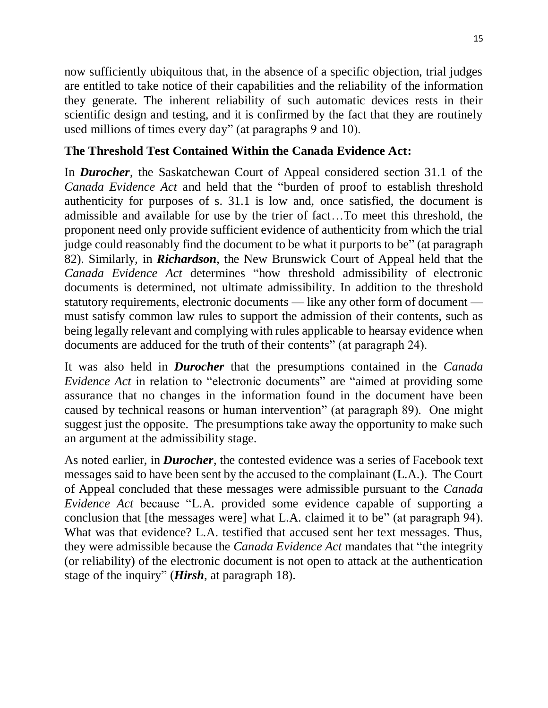now sufficiently ubiquitous that, in the absence of a specific objection, trial judges are entitled to take notice of their capabilities and the reliability of the information they generate. The inherent reliability of such automatic devices rests in their scientific design and testing, and it is confirmed by the fact that they are routinely used millions of times every day" (at paragraphs 9 and 10).

#### **The Threshold Test Contained Within the Canada Evidence Act:**

In *Durocher*, the Saskatchewan Court of Appeal considered section 31.1 of the *Canada Evidence Act* and held that the "burden of proof to establish threshold authenticity for purposes of s. 31.1 is low and, once satisfied, the document is admissible and available for use by the trier of fact…To meet this threshold, the proponent need only provide sufficient evidence of authenticity from which the trial judge could reasonably find the document to be what it purports to be" (at paragraph 82). Similarly, in *Richardson*, the New Brunswick Court of Appeal held that the *Canada Evidence Act* determines "how threshold admissibility of electronic documents is determined, not ultimate admissibility. In addition to the threshold statutory requirements, electronic documents — like any other form of document must satisfy common law rules to support the admission of their contents, such as being legally relevant and complying with rules applicable to hearsay evidence when documents are adduced for the truth of their contents" (at paragraph 24).

It was also held in *Durocher* that the presumptions contained in the *Canada Evidence Act* in relation to "electronic documents" are "aimed at providing some assurance that no changes in the information found in the document have been caused by technical reasons or human intervention" (at paragraph 89). One might suggest just the opposite. The presumptions take away the opportunity to make such an argument at the admissibility stage.

As noted earlier, in *Durocher*, the contested evidence was a series of Facebook text messages said to have been sent by the accused to the complainant (L.A.). The Court of Appeal concluded that these messages were admissible pursuant to the *Canada Evidence Act* because "L.A. provided some evidence capable of supporting a conclusion that [the messages were] what L.A. claimed it to be" (at paragraph 94). What was that evidence? L.A. testified that accused sent her text messages. Thus, they were admissible because the *Canada Evidence Act* mandates that "the integrity (or reliability) of the electronic document is not open to attack at the authentication stage of the inquiry" (*Hirsh*, at paragraph 18).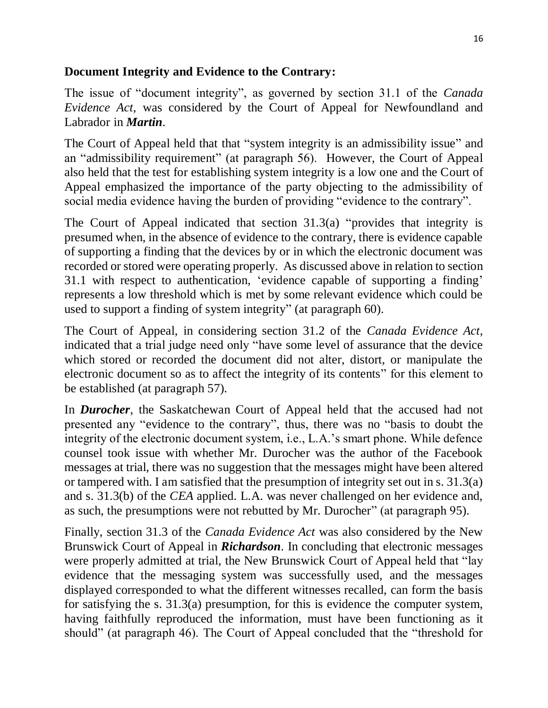#### **Document Integrity and Evidence to the Contrary:**

The issue of "document integrity", as governed by section 31.1 of the *Canada Evidence Act*, was considered by the Court of Appeal for Newfoundland and Labrador in *Martin*.

The Court of Appeal held that that "system integrity is an admissibility issue" and an "admissibility requirement" (at paragraph 56). However, the Court of Appeal also held that the test for establishing system integrity is a low one and the Court of Appeal emphasized the importance of the party objecting to the admissibility of social media evidence having the burden of providing "evidence to the contrary".

The Court of Appeal indicated that section 31.3(a) "provides that integrity is presumed when, in the absence of evidence to the contrary, there is evidence capable of supporting a finding that the devices by or in which the electronic document was recorded or stored were operating properly. As discussed above in relation to section 31.1 with respect to authentication, 'evidence capable of supporting a finding' represents a low threshold which is met by some relevant evidence which could be used to support a finding of system integrity" (at paragraph 60).

The Court of Appeal, in considering section 31.2 of the *Canada Evidence Act*, indicated that a trial judge need only "have some level of assurance that the device which stored or recorded the document did not alter, distort, or manipulate the electronic document so as to affect the integrity of its contents" for this element to be established (at paragraph 57).

In *Durocher*, the Saskatchewan Court of Appeal held that the accused had not presented any "evidence to the contrary", thus, there was no "basis to doubt the integrity of the electronic document system, i.e., L.A.'s smart phone. While defence counsel took issue with whether Mr. Durocher was the author of the Facebook messages at trial, there was no suggestion that the messages might have been altered or tampered with. I am satisfied that the presumption of integrity set out in s. 31.3(a) and s. 31.3(b) of the *CEA* applied. L.A. was never challenged on her evidence and, as such, the presumptions were not rebutted by Mr. Durocher" (at paragraph 95).

Finally, section 31.3 of the *Canada Evidence Act* was also considered by the New Brunswick Court of Appeal in *Richardson*. In concluding that electronic messages were properly admitted at trial, the New Brunswick Court of Appeal held that "lay evidence that the messaging system was successfully used, and the messages displayed corresponded to what the different witnesses recalled, can form the basis for satisfying the s. 31.3(a) presumption, for this is evidence the computer system, having faithfully reproduced the information, must have been functioning as it should" (at paragraph 46). The Court of Appeal concluded that the "threshold for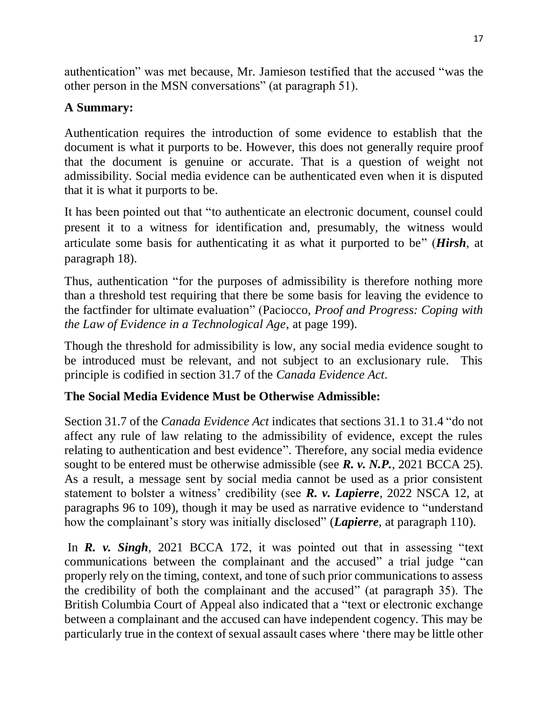authentication" was met because, Mr. Jamieson testified that the accused "was the other person in the MSN conversations" (at paragraph 51).

## **A Summary:**

Authentication requires the introduction of some evidence to establish that the document is what it purports to be. However, this does not generally require proof that the document is genuine or accurate. That is a question of weight not admissibility. Social media evidence can be authenticated even when it is disputed that it is what it purports to be.

It has been pointed out that "to authenticate an electronic document, counsel could present it to a witness for identification and, presumably, the witness would articulate some basis for authenticating it as what it purported to be" (*Hirsh*, at paragraph 18).

Thus, authentication "for the purposes of admissibility is therefore nothing more than a threshold test requiring that there be some basis for leaving the evidence to the factfinder for ultimate evaluation" (Paciocco, *Proof and Progress: Coping with the Law of Evidence in a Technological Age*, at page 199).

Though the threshold for admissibility is low, any social media evidence sought to be introduced must be relevant, and not subject to an exclusionary rule. This principle is codified in section 31.7 of the *Canada Evidence Act*.

## **The Social Media Evidence Must be Otherwise Admissible:**

Section 31.7 of the *Canada Evidence Act* indicates that sections 31.1 to 31.4 "do not affect any rule of law relating to the admissibility of evidence, except the rules relating to authentication and best evidence". Therefore, any social media evidence sought to be entered must be otherwise admissible (see *R. v. N.P.*, 2021 BCCA 25). As a result, a message sent by social media cannot be used as a prior consistent statement to bolster a witness' credibility (see *R. v. Lapierre*, 2022 NSCA 12, at paragraphs 96 to 109), though it may be used as narrative evidence to "understand how the complainant's story was initially disclosed" (*Lapierre*, at paragraph 110).

In *R. v. Singh*, 2021 BCCA 172, it was pointed out that in assessing "text communications between the complainant and the accused" a trial judge "can properly rely on the timing, context, and tone of such prior communications to assess the credibility of both the complainant and the accused" (at paragraph 35). The British Columbia Court of Appeal also indicated that a "text or electronic exchange between a complainant and the accused can have independent cogency. This may be particularly true in the context of sexual assault cases where 'there may be little other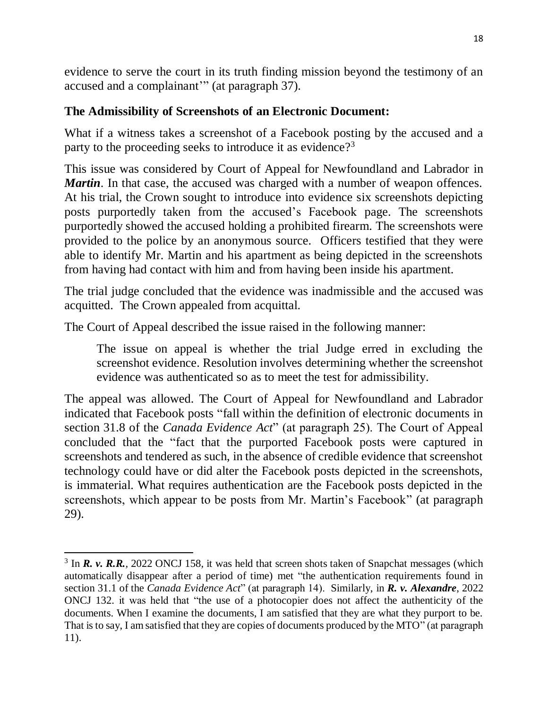evidence to serve the court in its truth finding mission beyond the testimony of an accused and a complainant'" (at paragraph 37).

## **The Admissibility of Screenshots of an Electronic Document:**

What if a witness takes a screenshot of a Facebook posting by the accused and a party to the proceeding seeks to introduce it as evidence?<sup>3</sup>

This issue was considered by Court of Appeal for Newfoundland and Labrador in *Martin*. In that case, the accused was charged with a number of weapon offences. At his trial, the Crown sought to introduce into evidence six screenshots depicting posts purportedly taken from the accused's Facebook page. The screenshots purportedly showed the accused holding a prohibited firearm. The screenshots were provided to the police by an anonymous source. Officers testified that they were able to identify Mr. Martin and his apartment as being depicted in the screenshots from having had contact with him and from having been inside his apartment.

The trial judge concluded that the evidence was inadmissible and the accused was acquitted. The Crown appealed from acquittal.

The Court of Appeal described the issue raised in the following manner:

The issue on appeal is whether the trial Judge erred in excluding the screenshot evidence. Resolution involves determining whether the screenshot evidence was authenticated so as to meet the test for admissibility.

The appeal was allowed. The Court of Appeal for Newfoundland and Labrador indicated that Facebook posts "fall within the definition of electronic documents in section 31.8 of the *Canada Evidence Act*" (at paragraph 25). The Court of Appeal concluded that the "fact that the purported Facebook posts were captured in screenshots and tendered as such, in the absence of credible evidence that screenshot technology could have or did alter the Facebook posts depicted in the screenshots, is immaterial. What requires authentication are the Facebook posts depicted in the screenshots, which appear to be posts from Mr. Martin's Facebook" (at paragraph 29).

 $\overline{\phantom{a}}$ <sup>3</sup> In *R. v. R.R.*, 2022 ONCJ 158, it was held that screen shots taken of Snapchat messages (which automatically disappear after a period of time) met "the authentication requirements found in section 31.1 of the *Canada Evidence Act*" (at paragraph 14). Similarly, in *R. v. Alexandre*, 2022 ONCJ 132. it was held that "the use of a photocopier does not affect the authenticity of the documents. When I examine the documents, I am satisfied that they are what they purport to be. That is to say, I am satisfied that they are copies of documents produced by the MTO" (at paragraph 11).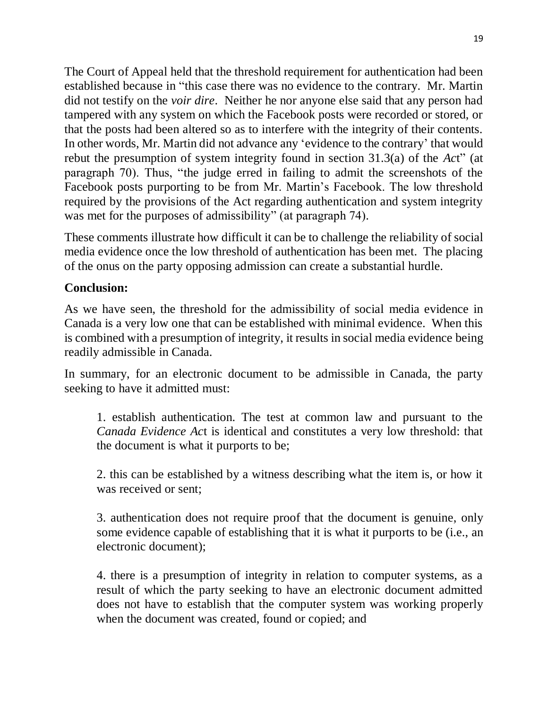The Court of Appeal held that the threshold requirement for authentication had been established because in "this case there was no evidence to the contrary. Mr. Martin did not testify on the *voir dire*. Neither he nor anyone else said that any person had tampered with any system on which the Facebook posts were recorded or stored, or that the posts had been altered so as to interfere with the integrity of their contents. In other words, Mr. Martin did not advance any 'evidence to the contrary' that would rebut the presumption of system integrity found in section 31.3(a) of the *Ac*t" (at paragraph 70). Thus, "the judge erred in failing to admit the screenshots of the Facebook posts purporting to be from Mr. Martin's Facebook. The low threshold required by the provisions of the Act regarding authentication and system integrity was met for the purposes of admissibility" (at paragraph 74).

These comments illustrate how difficult it can be to challenge the reliability of social media evidence once the low threshold of authentication has been met. The placing of the onus on the party opposing admission can create a substantial hurdle.

### **Conclusion:**

As we have seen, the threshold for the admissibility of social media evidence in Canada is a very low one that can be established with minimal evidence. When this is combined with a presumption of integrity, it results in social media evidence being readily admissible in Canada.

In summary, for an electronic document to be admissible in Canada, the party seeking to have it admitted must:

1. establish authentication. The test at common law and pursuant to the *Canada Evidence Ac*t is identical and constitutes a very low threshold: that the document is what it purports to be;

2. this can be established by a witness describing what the item is, or how it was received or sent;

3. authentication does not require proof that the document is genuine, only some evidence capable of establishing that it is what it purports to be (i.e., an electronic document);

4. there is a presumption of integrity in relation to computer systems, as a result of which the party seeking to have an electronic document admitted does not have to establish that the computer system was working properly when the document was created, found or copied; and